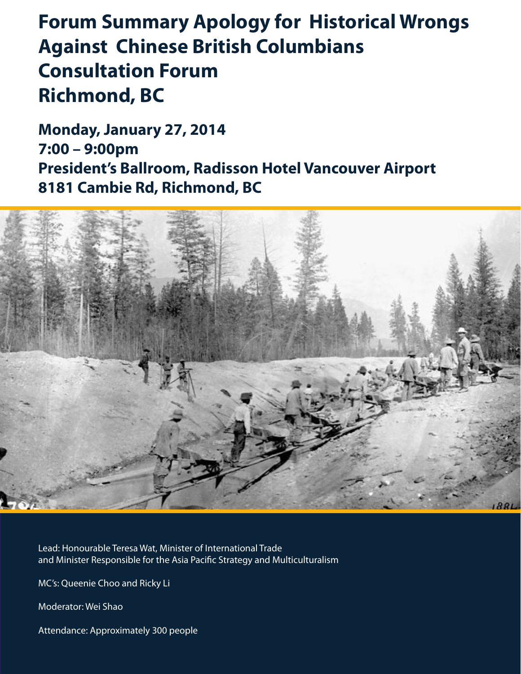# **Forum Summary Apology for Historical Wrongs Against Chinese British Columbians Consultation Forum Richmond, BC**

**Monday, January 27, 2014 7:00 – 9:00pm President's Ballroom, Radisson Hotel Vancouver Airport 8181 Cambie Rd, Richmond, BC** 



Lead: Honourable Teresa Wat, Minister of International Trade and Minister Responsible for the Asia Pacific Strategy and Multiculturalism

MC's: Queenie Choo and Ricky Li

Moderator: Wei Shao

Attendance: Approximately 300 people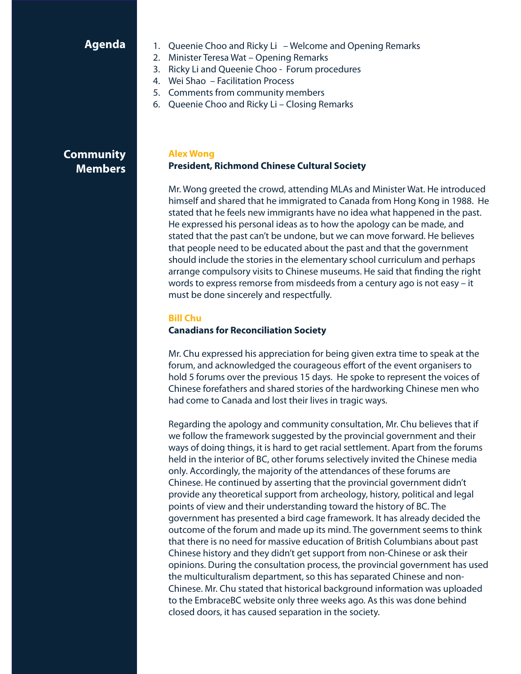# **Agenda**

- 1. Queenie Choo and Ricky Li Welcome and Opening Remarks
- 2. Minister Teresa Wat Opening Remarks
- 3. Ricky Li and Queenie Choo Forum procedures
- 4. Wei Shao Facilitation Process
- 5. Comments from community members
- 6. Queenie Choo and Ricky Li Closing Remarks

# **Community Members**

### **Alex Wong President, Richmond Chinese Cultural Society**

Mr. Wong greeted the crowd, attending MLAs and Minister Wat. He introduced himself and shared that he immigrated to Canada from Hong Kong in 1988. He stated that he feels new immigrants have no idea what happened in the past. He expressed his personal ideas as to how the apology can be made, and stated that the past can't be undone, but we can move forward. He believes that people need to be educated about the past and that the government should include the stories in the elementary school curriculum and perhaps arrange compulsory visits to Chinese museums. He said that finding the right words to express remorse from misdeeds from a century ago is not easy – it must be done sincerely and respectfully.

#### **Bill Chu**

#### **Canadians for Reconciliation Society**

Mr. Chu expressed his appreciation for being given extra time to speak at the forum, and acknowledged the courageous effort of the event organisers to hold 5 forums over the previous 15 days. He spoke to represent the voices of Chinese forefathers and shared stories of the hardworking Chinese men who had come to Canada and lost their lives in tragic ways.

Regarding the apology and community consultation, Mr. Chu believes that if we follow the framework suggested by the provincial government and their ways of doing things, it is hard to get racial settlement. Apart from the forums held in the interior of BC, other forums selectively invited the Chinese media only. Accordingly, the majority of the attendances of these forums are Chinese. He continued by asserting that the provincial government didn't provide any theoretical support from archeology, history, political and legal points of view and their understanding toward the history of BC. The government has presented a bird cage framework. It has already decided the outcome of the forum and made up its mind. The government seems to think that there is no need for massive education of British Columbians about past Chinese history and they didn't get support from non-Chinese or ask their opinions. During the consultation process, the provincial government has used the multiculturalism department, so this has separated Chinese and non-Chinese. Mr. Chu stated that historical background information was uploaded to the EmbraceBC website only three weeks ago. As this was done behind closed doors, it has caused separation in the society.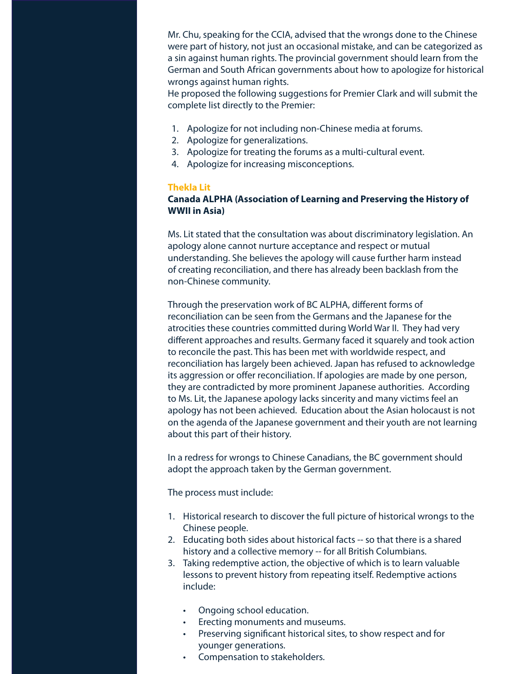Mr. Chu, speaking for the CCIA, advised that the wrongs done to the Chinese were part of history, not just an occasional mistake, and can be categorized as a sin against human rights. The provincial government should learn from the German and South African governments about how to apologize for historical wrongs against human rights.

He proposed the following suggestions for Premier Clark and will submit the complete list directly to the Premier:

- 1. Apologize for not including non-Chinese media at forums.
- 2. Apologize for generalizations.
- 3. Apologize for treating the forums as a multi-cultural event.
- 4. Apologize for increasing misconceptions.

#### **Thekla Lit**

## **Canada ALPHA (Association of Learning and Preserving the History of WWII in Asia)**

Ms. Lit stated that the consultation was about discriminatory legislation. An apology alone cannot nurture acceptance and respect or mutual understanding. She believes the apology will cause further harm instead of creating reconciliation, and there has already been backlash from the non-Chinese community.

Through the preservation work of BC ALPHA, different forms of reconciliation can be seen from the Germans and the Japanese for the atrocities these countries committed during World War II. They had very different approaches and results. Germany faced it squarely and took action to reconcile the past. This has been met with worldwide respect, and reconciliation has largely been achieved. Japan has refused to acknowledge its aggression or offer reconciliation. If apologies are made by one person, they are contradicted by more prominent Japanese authorities. According to Ms. Lit, the Japanese apology lacks sincerity and many victims feel an apology has not been achieved. Education about the Asian holocaust is not on the agenda of the Japanese government and their youth are not learning about this part of their history.

In a redress for wrongs to Chinese Canadians, the BC government should adopt the approach taken by the German government.

The process must include:

- 1. Historical research to discover the full picture of historical wrongs to the Chinese people.
- 2. Educating both sides about historical facts -- so that there is a shared history and a collective memory -- for all British Columbians.
- 3. Taking redemptive action, the objective of which is to learn valuable lessons to prevent history from repeating itself. Redemptive actions include:
	- Ongoing school education.
	- • Erecting monuments and museums.
	- • Preserving significant historical sites, to show respect and for younger generations.
	- Compensation to stakeholders.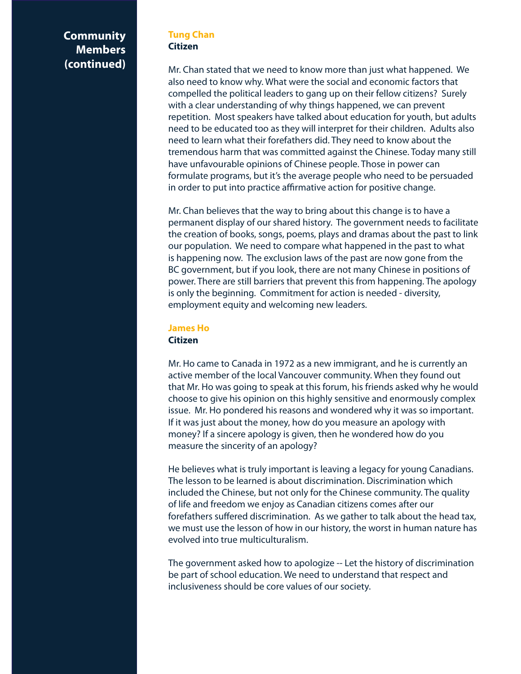### **Tung Chan Citizen**

Mr. Chan stated that we need to know more than just what happened. We also need to know why. What were the social and economic factors that compelled the political leaders to gang up on their fellow citizens? Surely with a clear understanding of why things happened, we can prevent repetition. Most speakers have talked about education for youth, but adults need to be educated too as they will interpret for their children. Adults also need to learn what their forefathers did. They need to know about the tremendous harm that was committed against the Chinese. Today many still have unfavourable opinions of Chinese people. Those in power can formulate programs, but it's the average people who need to be persuaded in order to put into practice affirmative action for positive change.

Mr. Chan believes that the way to bring about this change is to have a permanent display of our shared history. The government needs to facilitate the creation of books, songs, poems, plays and dramas about the past to link our population. We need to compare what happened in the past to what is happening now. The exclusion laws of the past are now gone from the BC government, but if you look, there are not many Chinese in positions of power. There are still barriers that prevent this from happening. The apology is only the beginning. Commitment for action is needed - diversity, employment equity and welcoming new leaders.

# **James Ho Citizen**

Mr. Ho came to Canada in 1972 as a new immigrant, and he is currently an active member of the local Vancouver community. When they found out that Mr. Ho was going to speak at this forum, his friends asked why he would choose to give his opinion on this highly sensitive and enormously complex issue. Mr. Ho pondered his reasons and wondered why it was so important. If it was just about the money, how do you measure an apology with money? If a sincere apology is given, then he wondered how do you measure the sincerity of an apology?

He believes what is truly important is leaving a legacy for young Canadians. The lesson to be learned is about discrimination. Discrimination which included the Chinese, but not only for the Chinese community. The quality of life and freedom we enjoy as Canadian citizens comes after our forefathers suffered discrimination. As we gather to talk about the head tax, we must use the lesson of how in our history, the worst in human nature has evolved into true multiculturalism.

The government asked how to apologize -- Let the history of discrimination be part of school education. We need to understand that respect and inclusiveness should be core values of our society.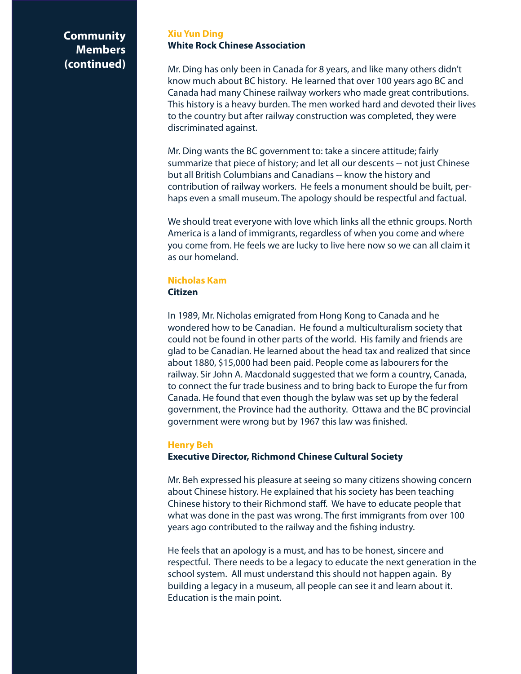### **Xiu Yun Ding White Rock Chinese Association**

Mr. Ding has only been in Canada for 8 years, and like many others didn't know much about BC history. He learned that over 100 years ago BC and Canada had many Chinese railway workers who made great contributions. This history is a heavy burden. The men worked hard and devoted their lives to the country but after railway construction was completed, they were discriminated against.

Mr. Ding wants the BC government to: take a sincere attitude; fairly summarize that piece of history; and let all our descents -- not just Chinese but all British Columbians and Canadians -- know the history and contribution of railway workers. He feels a monument should be built, perhaps even a small museum. The apology should be respectful and factual.

We should treat everyone with love which links all the ethnic groups. North America is a land of immigrants, regardless of when you come and where you come from. He feels we are lucky to live here now so we can all claim it as our homeland.

#### **Nicholas Kam Citizen**

In 1989, Mr. Nicholas emigrated from Hong Kong to Canada and he wondered how to be Canadian. He found a multiculturalism society that could not be found in other parts of the world. His family and friends are glad to be Canadian. He learned about the head tax and realized that since about 1880, \$15,000 had been paid. People come as labourers for the railway. Sir John A. Macdonald suggested that we form a country, Canada, to connect the fur trade business and to bring back to Europe the fur from Canada. He found that even though the bylaw was set up by the federal government, the Province had the authority. Ottawa and the BC provincial government were wrong but by 1967 this law was finished.

# **Henry Beh**

# **Executive Director, Richmond Chinese Cultural Society**

Mr. Beh expressed his pleasure at seeing so many citizens showing concern about Chinese history. He explained that his society has been teaching Chinese history to their Richmond staff. We have to educate people that what was done in the past was wrong. The first immigrants from over 100 years ago contributed to the railway and the fishing industry.

He feels that an apology is a must, and has to be honest, sincere and respectful. There needs to be a legacy to educate the next generation in the school system. All must understand this should not happen again. By building a legacy in a museum, all people can see it and learn about it. Education is the main point.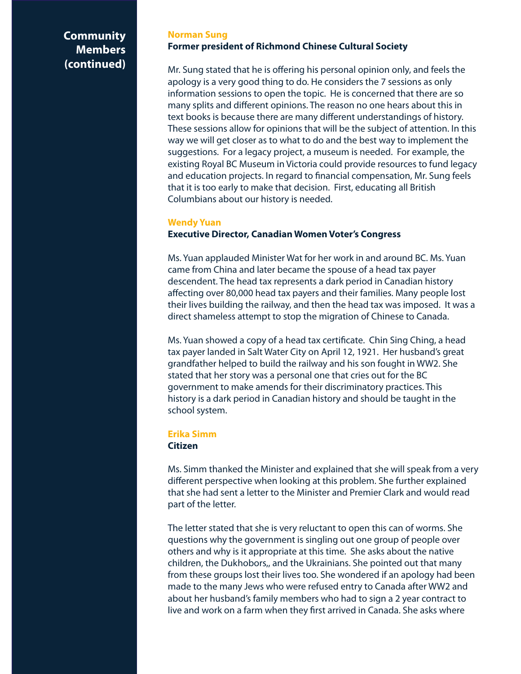#### **Norman Sung Former president of Richmond Chinese Cultural Society**

Mr. Sung stated that he is offering his personal opinion only, and feels the apology is a very good thing to do. He considers the 7 sessions as only information sessions to open the topic. He is concerned that there are so many splits and different opinions. The reason no one hears about this in text books is because there are many different understandings of history. These sessions allow for opinions that will be the subject of attention. In this way we will get closer as to what to do and the best way to implement the suggestions. For a legacy project, a museum is needed. For example, the existing Royal BC Museum in Victoria could provide resources to fund legacy and education projects. In regard to financial compensation, Mr. Sung feels that it is too early to make that decision. First, educating all British Columbians about our history is needed.

#### **Wendy Yuan**

# **Executive Director, Canadian Women Voter's Congress**

Ms. Yuan applauded Minister Wat for her work in and around BC. Ms. Yuan came from China and later became the spouse of a head tax payer descendent. The head tax represents a dark period in Canadian history affecting over 80,000 head tax payers and their families. Many people lost their lives building the railway, and then the head tax was imposed. It was a direct shameless attempt to stop the migration of Chinese to Canada.

Ms. Yuan showed a copy of a head tax certificate. Chin Sing Ching, a head tax payer landed in Salt Water City on April 12, 1921. Her husband's great grandfather helped to build the railway and his son fought in WW2. She stated that her story was a personal one that cries out for the BC government to make amends for their discriminatory practices. This history is a dark period in Canadian history and should be taught in the school system.

#### **Erika Simm**

#### **Citizen**

Ms. Simm thanked the Minister and explained that she will speak from a very different perspective when looking at this problem. She further explained that she had sent a letter to the Minister and Premier Clark and would read part of the letter.

The letter stated that she is very reluctant to open this can of worms. She questions why the government is singling out one group of people over others and why is it appropriate at this time. She asks about the native children, the Dukhobors,, and the Ukrainians. She pointed out that many from these groups lost their lives too. She wondered if an apology had been made to the many Jews who were refused entry to Canada after WW2 and about her husband's family members who had to sign a 2 year contract to live and work on a farm when they first arrived in Canada. She asks where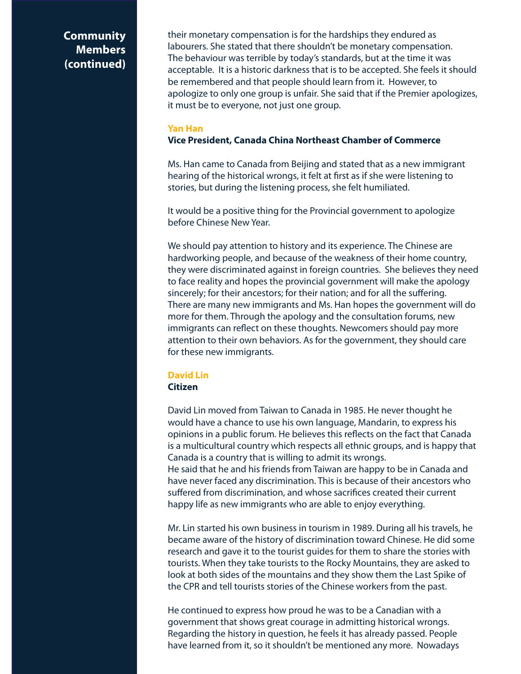their monetary compensation is for the hardships they endured as labourers. She stated that there shouldn't be monetary compensation. The behaviour was terrible by today's standards, but at the time it was acceptable. It is a historic darkness that is to be accepted. She feels it should be remembered and that people should learn from it. However, to apologize to only one group is unfair. She said that if the Premier apologizes, it must be to everyone, not just one group.

#### **Yan Han**

# **Vice President, Canada China Northeast Chamber of Commerce**

Ms. Han came to Canada from Beijing and stated that as a new immigrant hearing of the historical wrongs, it felt at first as if she were listening to stories, but during the listening process, she felt humiliated.

It would be a positive thing for the Provincial government to apologize before Chinese New Year.

We should pay attention to history and its experience. The Chinese are hardworking people, and because of the weakness of their home country, they were discriminated against in foreign countries. She believes they need to face reality and hopes the provincial government will make the apology sincerely; for their ancestors; for their nation; and for all the suffering. There are many new immigrants and Ms. Han hopes the government will do more for them. Through the apology and the consultation forums, new immigrants can reflect on these thoughts. Newcomers should pay more attention to their own behaviors. As for the government, they should care for these new immigrants.

### **David Lin Citizen**

David Lin moved from Taiwan to Canada in 1985. He never thought he would have a chance to use his own language, Mandarin, to express his opinions in a public forum. He believes this reflects on the fact that Canada is a multicultural country which respects all ethnic groups, and is happy that Canada is a country that is willing to admit its wrongs. He said that he and his friends from Taiwan are happy to be in Canada and

have never faced any discrimination. This is because of their ancestors who suffered from discrimination, and whose sacrifices created their current happy life as new immigrants who are able to enjoy everything.

Mr. Lin started his own business in tourism in 1989. During all his travels, he became aware of the history of discrimination toward Chinese. He did some research and gave it to the tourist guides for them to share the stories with tourists. When they take tourists to the Rocky Mountains, they are asked to look at both sides of the mountains and they show them the Last Spike of the CPR and tell tourists stories of the Chinese workers from the past.

He continued to express how proud he was to be a Canadian with a government that shows great courage in admitting historical wrongs. Regarding the history in question, he feels it has already passed. People have learned from it, so it shouldn't be mentioned any more. Nowadays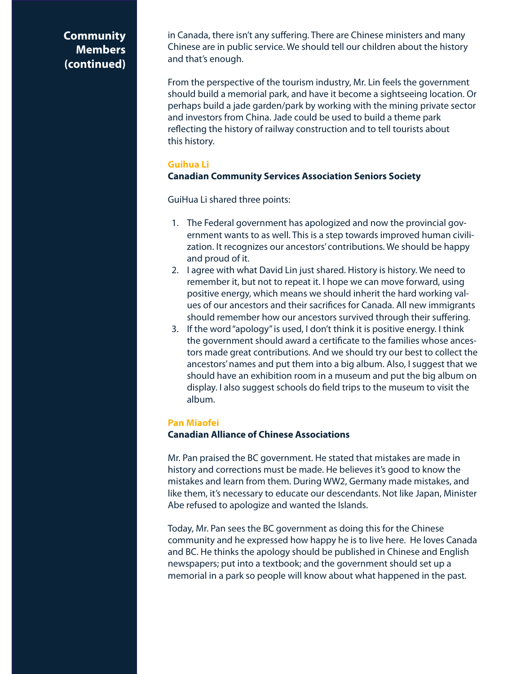in Canada, there isn't any suffering. There are Chinese ministers and many Chinese are in public service. We should tell our children about the history and that's enough.

From the perspective of the tourism industry, Mr. Lin feels the government should build a memorial park, and have it become a sightseeing location. Or perhaps build a jade garden/park by working with the mining private sector and investors from China. Jade could be used to build a theme park reflecting the history of railway construction and to tell tourists about this history.

### **Guihua Li**

### **Canadian Community Services Association Seniors Society**

GuiHua Li shared three points:

- 1. The Federal government has apologized and now the provincial government wants to as well. This is a step towards improved human civilization. It recognizes our ancestors' contributions. We should be happy and proud of it.
- 2. I agree with what David Lin just shared. History is history. We need to remember it, but not to repeat it. I hope we can move forward, using positive energy, which means we should inherit the hard working values of our ancestors and their sacrifices for Canada. All new immigrants should remember how our ancestors survived through their suffering.
- 3. If the word "apology" is used, I don't think it is positive energy. I think the government should award a certificate to the families whose ancestors made great contributions. And we should try our best to collect the ancestors' names and put them into a big album. Also, I suggest that we should have an exhibition room in a museum and put the big album on display. I also suggest schools do field trips to the museum to visit the album.

#### **Pan Miaofei**

#### **Canadian Alliance of Chinese Associations**

Mr. Pan praised the BC government. He stated that mistakes are made in history and corrections must be made. He believes it's good to know the mistakes and learn from them. During WW2, Germany made mistakes, and like them, it's necessary to educate our descendants. Not like Japan, Minister Abe refused to apologize and wanted the Islands.

Today, Mr. Pan sees the BC government as doing this for the Chinese community and he expressed how happy he is to live here. He loves Canada and BC. He thinks the apology should be published in Chinese and English newspapers; put into a textbook; and the government should set up a memorial in a park so people will know about what happened in the past.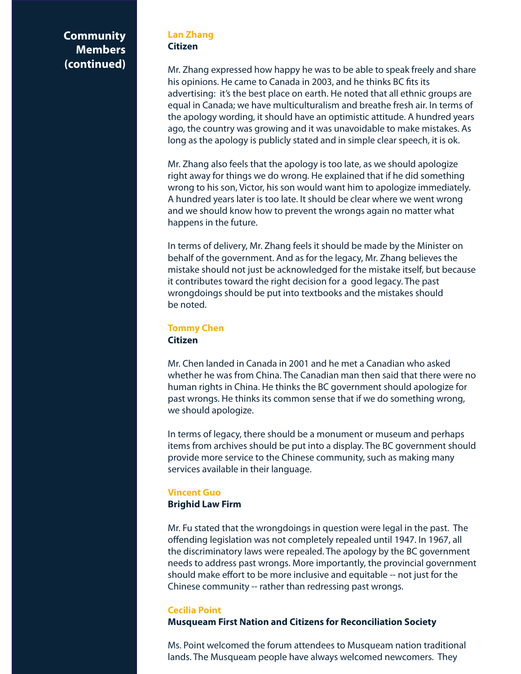#### **Lan Zhang Citizen**

Mr. Zhang expressed how happy he was to be able to speak freely and share his opinions. He came to Canada in 2003, and he thinks BC fits its advertising: it's the best place on earth. He noted that all ethnic groups are equal in Canada; we have multiculturalism and breathe fresh air. In terms of the apology wording, it should have an optimistic attitude. A hundred years ago, the country was growing and it was unavoidable to make mistakes. As long as the apology is publicly stated and in simple clear speech, it is ok.

Mr. Zhang also feels that the apology is too late, as we should apologize right away for things we do wrong. He explained that if he did something wrong to his son, Victor, his son would want him to apologize immediately. A hundred years later is too late. It should be clear where we went wrong and we should know how to prevent the wrongs again no matter what happens in the future.

In terms of delivery, Mr. Zhang feels it should be made by the Minister on behalf of the government. And as for the legacy, Mr. Zhang believes the mistake should not just be acknowledged for the mistake itself, but because it contributes toward the right decision for a good legacy. The past wrongdoings should be put into textbooks and the mistakes should be noted.

# **Tommy Chen Citizen**

Mr. Chen landed in Canada in 2001 and he met a Canadian who asked whether he was from China. The Canadian man then said that there were no human rights in China. He thinks the BC government should apologize for past wrongs. He thinks its common sense that if we do something wrong, we should apologize.

In terms of legacy, there should be a monument or museum and perhaps items from archives should be put into a display. The BC government should provide more service to the Chinese community, such as making many services available in their language.

# **Vincent Guo**

### **Brighid Law Firm**

Mr. Fu stated that the wrongdoings in question were legal in the past. The offending legislation was not completely repealed until 1947. In 1967, all the discriminatory laws were repealed. The apology by the BC government needs to address past wrongs. More importantly, the provincial government should make effort to be more inclusive and equitable -- not just for the Chinese community -- rather than redressing past wrongs.

# **Cecilia Point**

### **Musqueam First Nation and Citizens for Reconciliation Society**

Ms. Point welcomed the forum attendees to Musqueam nation traditional lands. The Musqueam people have always welcomed newcomers. They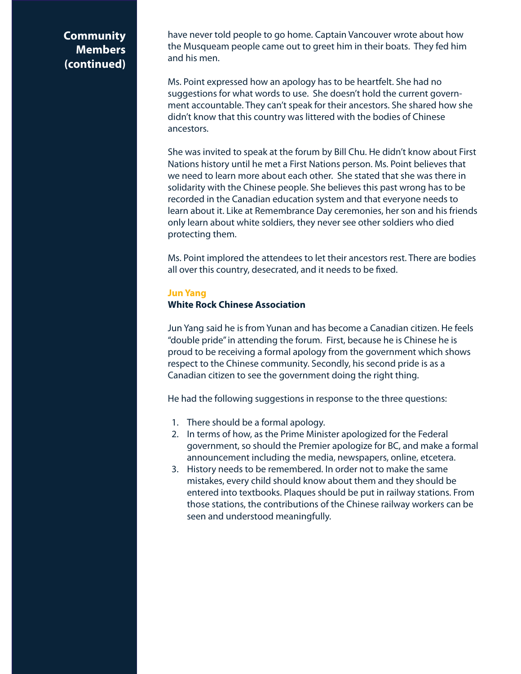have never told people to go home. Captain Vancouver wrote about how the Musqueam people came out to greet him in their boats. They fed him and his men.

Ms. Point expressed how an apology has to be heartfelt. She had no suggestions for what words to use. She doesn't hold the current government accountable. They can't speak for their ancestors. She shared how she didn't know that this country was littered with the bodies of Chinese ancestors.

She was invited to speak at the forum by Bill Chu. He didn't know about First Nations history until he met a First Nations person. Ms. Point believes that we need to learn more about each other. She stated that she was there in solidarity with the Chinese people. She believes this past wrong has to be recorded in the Canadian education system and that everyone needs to learn about it. Like at Remembrance Day ceremonies, her son and his friends only learn about white soldiers, they never see other soldiers who died protecting them.

Ms. Point implored the attendees to let their ancestors rest. There are bodies all over this country, desecrated, and it needs to be fixed.

#### **Jun Yang**

### **White Rock Chinese Association**

Jun Yang said he is from Yunan and has become a Canadian citizen. He feels "double pride" in attending the forum. First, because he is Chinese he is proud to be receiving a formal apology from the government which shows respect to the Chinese community. Secondly, his second pride is as a Canadian citizen to see the government doing the right thing.

He had the following suggestions in response to the three questions:

- 1. There should be a formal apology.
- 2. In terms of how, as the Prime Minister apologized for the Federal government, so should the Premier apologize for BC, and make a formal announcement including the media, newspapers, online, etcetera.
- 3. History needs to be remembered. In order not to make the same mistakes, every child should know about them and they should be entered into textbooks. Plaques should be put in railway stations. From those stations, the contributions of the Chinese railway workers can be seen and understood meaningfully.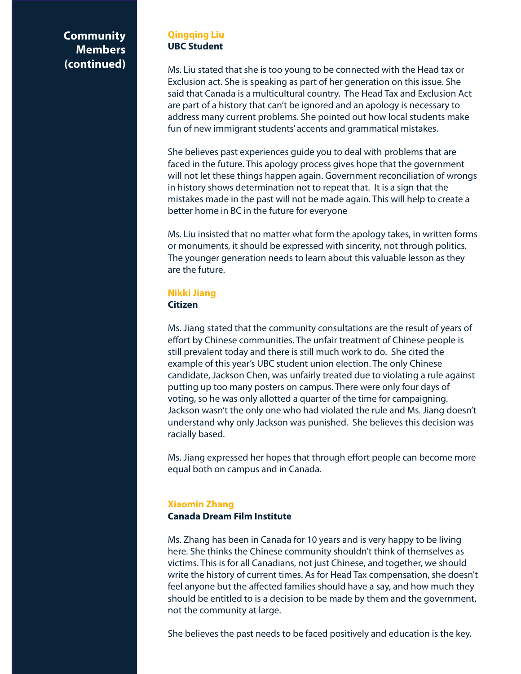### **Qingqing Liu UBC Student**

Ms. Liu stated that she is too young to be connected with the Head tax or Exclusion act. She is speaking as part of her generation on this issue. She said that Canada is a multicultural country. The Head Tax and Exclusion Act are part of a history that can't be ignored and an apology is necessary to address many current problems. She pointed out how local students make fun of new immigrant students' accents and grammatical mistakes.

She believes past experiences guide you to deal with problems that are faced in the future. This apology process gives hope that the government will not let these things happen again. Government reconciliation of wrongs in history shows determination not to repeat that. It is a sign that the mistakes made in the past will not be made again. This will help to create a better home in BC in the future for everyone

Ms. Liu insisted that no matter what form the apology takes, in written forms or monuments, it should be expressed with sincerity, not through politics. The younger generation needs to learn about this valuable lesson as they are the future.

# **Nikki Jiang**

# **Citizen**

Ms. Jiang stated that the community consultations are the result of years of effort by Chinese communities. The unfair treatment of Chinese people is still prevalent today and there is still much work to do. She cited the example of this year's UBC student union election. The only Chinese candidate, Jackson Chen, was unfairly treated due to violating a rule against putting up too many posters on campus. There were only four days of voting, so he was only allotted a quarter of the time for campaigning. Jackson wasn't the only one who had violated the rule and Ms. Jiang doesn't understand why only Jackson was punished. She believes this decision was racially based.

Ms. Jiang expressed her hopes that through effort people can become more equal both on campus and in Canada.

# **Xiaomin Zhang Canada Dream Film Institute**

Ms. Zhang has been in Canada for 10 years and is very happy to be living here. She thinks the Chinese community shouldn't think of themselves as victims. This is for all Canadians, not just Chinese, and together, we should write the history of current times. As for Head Tax compensation, she doesn't feel anyone but the affected families should have a say, and how much they should be entitled to is a decision to be made by them and the government, not the community at large.

She believes the past needs to be faced positively and education is the key.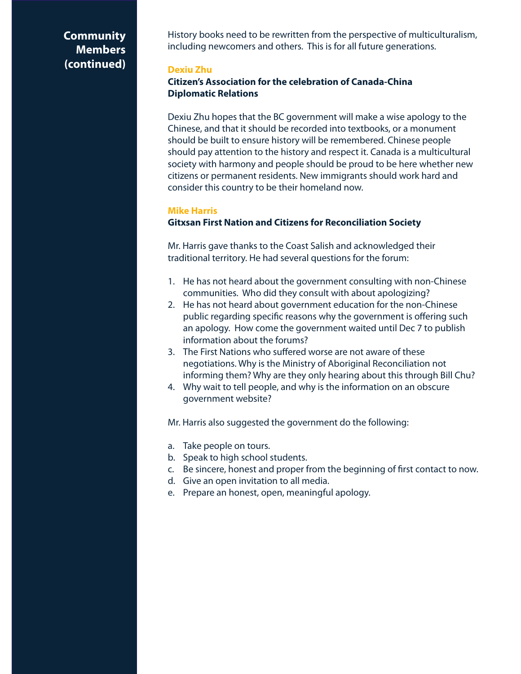History books need to be rewritten from the perspective of multiculturalism, including newcomers and others. This is for all future generations.

#### **Dexiu Zhu**

# **Citizen's Association for the celebration of Canada-China Diplomatic Relations**

Dexiu Zhu hopes that the BC government will make a wise apology to the Chinese, and that it should be recorded into textbooks, or a monument should be built to ensure history will be remembered. Chinese people should pay attention to the history and respect it. Canada is a multicultural society with harmony and people should be proud to be here whether new citizens or permanent residents. New immigrants should work hard and consider this country to be their homeland now.

#### **Mike Harris**

### **Gitxsan First Nation and Citizens for Reconciliation Society**

Mr. Harris gave thanks to the Coast Salish and acknowledged their traditional territory. He had several questions for the forum:

- 1. He has not heard about the government consulting with non-Chinese communities. Who did they consult with about apologizing?
- 2. He has not heard about government education for the non-Chinese public regarding specific reasons why the government is offering such an apology. How come the government waited until Dec 7 to publish information about the forums?
- 3. The First Nations who suffered worse are not aware of these negotiations. Why is the Ministry of Aboriginal Reconciliation not informing them? Why are they only hearing about this through Bill Chu?
- 4. Why wait to tell people, and why is the information on an obscure government website?

Mr. Harris also suggested the government do the following:

- a. Take people on tours.
- b. Speak to high school students.
- c. Be sincere, honest and proper from the beginning of first contact to now.
- d. Give an open invitation to all media.
- e. Prepare an honest, open, meaningful apology.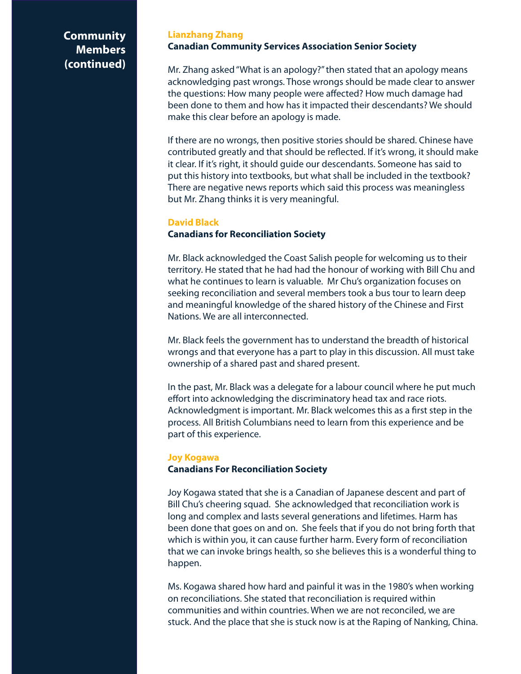#### **Lianzhang Zhang Canadian Community Services Association Senior Society**

Mr. Zhang asked "What is an apology?" then stated that an apology means acknowledging past wrongs. Those wrongs should be made clear to answer the questions: How many people were affected? How much damage had been done to them and how has it impacted their descendants? We should make this clear before an apology is made.

If there are no wrongs, then positive stories should be shared. Chinese have contributed greatly and that should be reflected. If it's wrong, it should make it clear. If it's right, it should guide our descendants. Someone has said to put this history into textbooks, but what shall be included in the textbook? There are negative news reports which said this process was meaningless but Mr. Zhang thinks it is very meaningful.

#### **David Black**

# **Canadians for Reconciliation Society**

Mr. Black acknowledged the Coast Salish people for welcoming us to their territory. He stated that he had had the honour of working with Bill Chu and what he continues to learn is valuable. Mr Chu's organization focuses on seeking reconciliation and several members took a bus tour to learn deep and meaningful knowledge of the shared history of the Chinese and First Nations. We are all interconnected.

Mr. Black feels the government has to understand the breadth of historical wrongs and that everyone has a part to play in this discussion. All must take ownership of a shared past and shared present.

In the past, Mr. Black was a delegate for a labour council where he put much effort into acknowledging the discriminatory head tax and race riots. Acknowledgment is important. Mr. Black welcomes this as a first step in the process. All British Columbians need to learn from this experience and be part of this experience.

#### **Joy Kogawa**

# **Canadians For Reconciliation Society**

Joy Kogawa stated that she is a Canadian of Japanese descent and part of Bill Chu's cheering squad. She acknowledged that reconciliation work is long and complex and lasts several generations and lifetimes. Harm has been done that goes on and on. She feels that if you do not bring forth that which is within you, it can cause further harm. Every form of reconciliation that we can invoke brings health, so she believes this is a wonderful thing to happen.

Ms. Kogawa shared how hard and painful it was in the 1980's when working on reconciliations. She stated that reconciliation is required within communities and within countries. When we are not reconciled, we are stuck. And the place that she is stuck now is at the Raping of Nanking, China.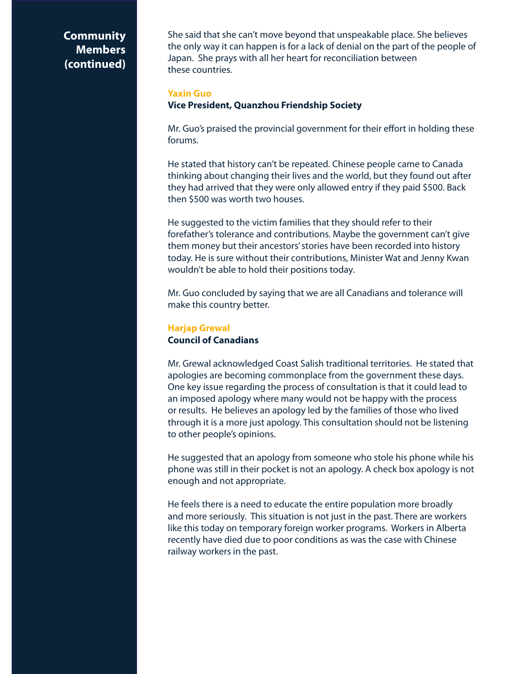She said that she can't move beyond that unspeakable place. She believes the only way it can happen is for a lack of denial on the part of the people of Japan. She prays with all her heart for reconciliation between these countries.

#### **Yaxin Guo**

# **Vice President, Quanzhou Friendship Society**

Mr. Guo's praised the provincial government for their effort in holding these forums.

He stated that history can't be repeated. Chinese people came to Canada thinking about changing their lives and the world, but they found out after they had arrived that they were only allowed entry if they paid \$500. Back then \$500 was worth two houses.

He suggested to the victim families that they should refer to their forefather's tolerance and contributions. Maybe the government can't give them money but their ancestors' stories have been recorded into history today. He is sure without their contributions, Minister Wat and Jenny Kwan wouldn't be able to hold their positions today.

Mr. Guo concluded by saying that we are all Canadians and tolerance will make this country better.

# **Harjap Grewal Council of Canadians**

Mr. Grewal acknowledged Coast Salish traditional territories. He stated that apologies are becoming commonplace from the government these days. One key issue regarding the process of consultation is that it could lead to an imposed apology where many would not be happy with the process or results. He believes an apology led by the families of those who lived through it is a more just apology. This consultation should not be listening to other people's opinions.

He suggested that an apology from someone who stole his phone while his phone was still in their pocket is not an apology. A check box apology is not enough and not appropriate.

He feels there is a need to educate the entire population more broadly and more seriously. This situation is not just in the past. There are workers like this today on temporary foreign worker programs. Workers in Alberta recently have died due to poor conditions as was the case with Chinese railway workers in the past.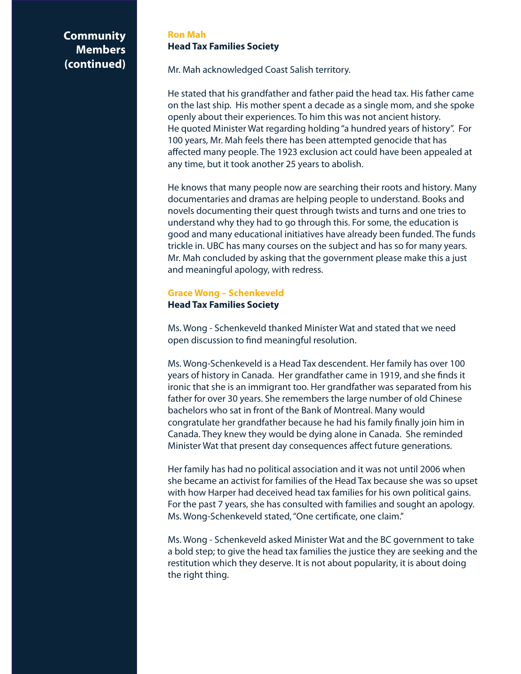### **Ron Mah Head Tax Families Society**

Mr. Mah acknowledged Coast Salish territory.

He stated that his grandfather and father paid the head tax. His father came on the last ship. His mother spent a decade as a single mom, and she spoke openly about their experiences. To him this was not ancient history. He quoted Minister Wat regarding holding "a hundred years of history". For 100 years, Mr. Mah feels there has been attempted genocide that has affected many people. The 1923 exclusion act could have been appealed at any time, but it took another 25 years to abolish.

He knows that many people now are searching their roots and history. Many documentaries and dramas are helping people to understand. Books and novels documenting their quest through twists and turns and one tries to understand why they had to go through this. For some, the education is good and many educational initiatives have already been funded. The funds trickle in. UBC has many courses on the subject and has so for many years. Mr. Mah concluded by asking that the government please make this a just and meaningful apology, with redress.

### **Grace Wong – Schenkeveld Head Tax Families Society**

Ms. Wong - Schenkeveld thanked Minister Wat and stated that we need open discussion to find meaningful resolution.

Ms. Wong-Schenkeveld is a Head Tax descendent. Her family has over 100 years of history in Canada. Her grandfather came in 1919, and she finds it ironic that she is an immigrant too. Her grandfather was separated from his father for over 30 years. She remembers the large number of old Chinese bachelors who sat in front of the Bank of Montreal. Many would congratulate her grandfather because he had his family finally join him in Canada. They knew they would be dying alone in Canada. She reminded Minister Wat that present day consequences affect future generations.

Her family has had no political association and it was not until 2006 when she became an activist for families of the Head Tax because she was so upset with how Harper had deceived head tax families for his own political gains. For the past 7 years, she has consulted with families and sought an apology. Ms. Wong-Schenkeveld stated, "One certificate, one claim."

Ms. Wong - Schenkeveld asked Minister Wat and the BC government to take a bold step; to give the head tax families the justice they are seeking and the restitution which they deserve. It is not about popularity, it is about doing the right thing.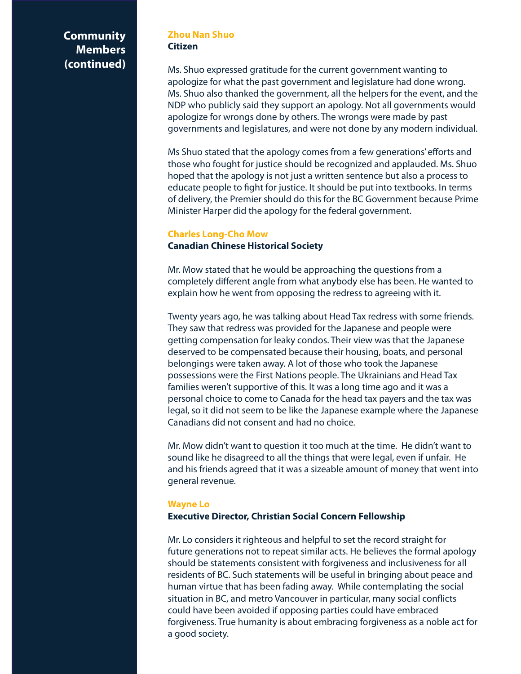#### **Zhou Nan Shuo Citizen**

Ms. Shuo expressed gratitude for the current government wanting to apologize for what the past government and legislature had done wrong. Ms. Shuo also thanked the government, all the helpers for the event, and the NDP who publicly said they support an apology. Not all governments would apologize for wrongs done by others. The wrongs were made by past governments and legislatures, and were not done by any modern individual.

Ms Shuo stated that the apology comes from a few generations' efforts and those who fought for justice should be recognized and applauded. Ms. Shuo hoped that the apology is not just a written sentence but also a process to educate people to fight for justice. It should be put into textbooks. In terms of delivery, the Premier should do this for the BC Government because Prime Minister Harper did the apology for the federal government.

#### **Charles Long-Cho Mow**

#### **Canadian Chinese Historical Society**

Mr. Mow stated that he would be approaching the questions from a completely different angle from what anybody else has been. He wanted to explain how he went from opposing the redress to agreeing with it.

Twenty years ago, he was talking about Head Tax redress with some friends. They saw that redress was provided for the Japanese and people were getting compensation for leaky condos. Their view was that the Japanese deserved to be compensated because their housing, boats, and personal belongings were taken away. A lot of those who took the Japanese possessions were the First Nations people. The Ukrainians and Head Tax families weren't supportive of this. It was a long time ago and it was a personal choice to come to Canada for the head tax payers and the tax was legal, so it did not seem to be like the Japanese example where the Japanese Canadians did not consent and had no choice.

Mr. Mow didn't want to question it too much at the time. He didn't want to sound like he disagreed to all the things that were legal, even if unfair. He and his friends agreed that it was a sizeable amount of money that went into general revenue.

### **Wayne Lo**

#### **Executive Director, Christian Social Concern Fellowship**

Mr. Lo considers it righteous and helpful to set the record straight for future generations not to repeat similar acts. He believes the formal apology should be statements consistent with forgiveness and inclusiveness for all residents of BC. Such statements will be useful in bringing about peace and human virtue that has been fading away. While contemplating the social situation in BC, and metro Vancouver in particular, many social conflicts could have been avoided if opposing parties could have embraced forgiveness. True humanity is about embracing forgiveness as a noble act for a good society.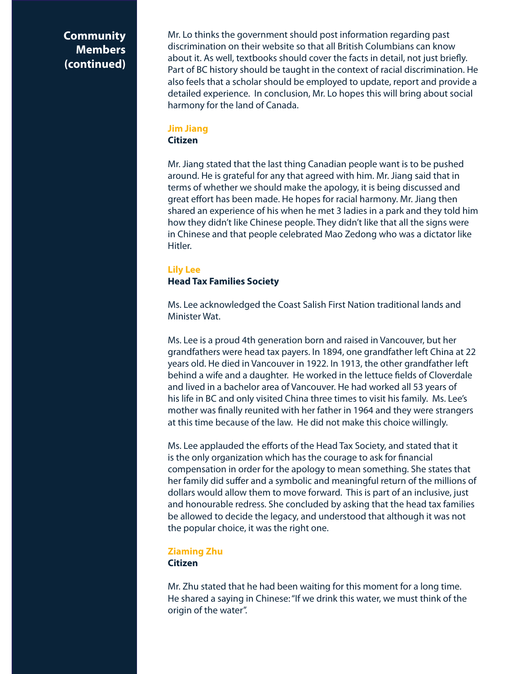Mr. Lo thinks the government should post information regarding past discrimination on their website so that all British Columbians can know about it. As well, textbooks should cover the facts in detail, not just briefly. Part of BC history should be taught in the context of racial discrimination. He also feels that a scholar should be employed to update, report and provide a detailed experience. In conclusion, Mr. Lo hopes this will bring about social harmony for the land of Canada.

#### **Jim Jiang Citizen**

Mr. Jiang stated that the last thing Canadian people want is to be pushed around. He is grateful for any that agreed with him. Mr. Jiang said that in terms of whether we should make the apology, it is being discussed and great effort has been made. He hopes for racial harmony. Mr. Jiang then shared an experience of his when he met 3 ladies in a park and they told him how they didn't like Chinese people. They didn't like that all the signs were in Chinese and that people celebrated Mao Zedong who was a dictator like Hitler.

#### **Lily Lee Head Tax Families Society**

Ms. Lee acknowledged the Coast Salish First Nation traditional lands and Minister Wat.

Ms. Lee is a proud 4th generation born and raised in Vancouver, but her grandfathers were head tax payers. In 1894, one grandfather left China at 22 years old. He died in Vancouver in 1922. In 1913, the other grandfather left behind a wife and a daughter. He worked in the lettuce fields of Cloverdale and lived in a bachelor area of Vancouver. He had worked all 53 years of his life in BC and only visited China three times to visit his family. Ms. Lee's mother was finally reunited with her father in 1964 and they were strangers at this time because of the law. He did not make this choice willingly.

Ms. Lee applauded the efforts of the Head Tax Society, and stated that it is the only organization which has the courage to ask for financial compensation in order for the apology to mean something. She states that her family did suffer and a symbolic and meaningful return of the millions of dollars would allow them to move forward. This is part of an inclusive, just and honourable redress. She concluded by asking that the head tax families be allowed to decide the legacy, and understood that although it was not the popular choice, it was the right one.

### **Ziaming Zhu Citizen**

Mr. Zhu stated that he had been waiting for this moment for a long time. He shared a saying in Chinese: "If we drink this water, we must think of the origin of the water".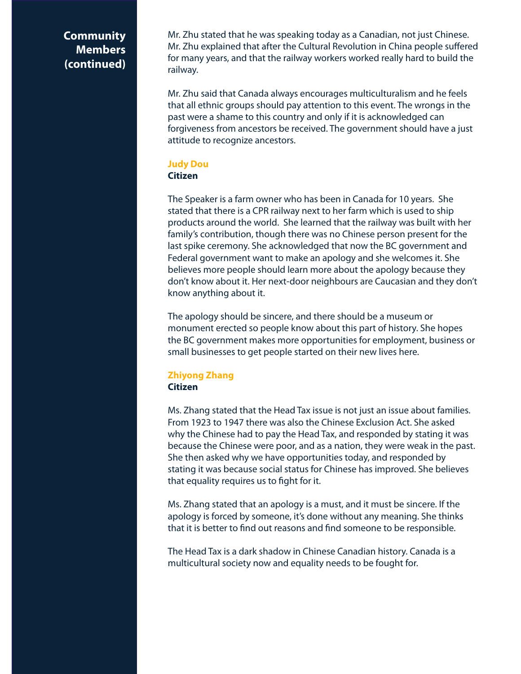Mr. Zhu stated that he was speaking today as a Canadian, not just Chinese. Mr. Zhu explained that after the Cultural Revolution in China people suffered for many years, and that the railway workers worked really hard to build the railway.

Mr. Zhu said that Canada always encourages multiculturalism and he feels that all ethnic groups should pay attention to this event. The wrongs in the past were a shame to this country and only if it is acknowledged can forgiveness from ancestors be received. The government should have a just attitude to recognize ancestors.

#### **Judy Dou Citizen**

The Speaker is a farm owner who has been in Canada for 10 years. She stated that there is a CPR railway next to her farm which is used to ship products around the world. She learned that the railway was built with her family's contribution, though there was no Chinese person present for the last spike ceremony. She acknowledged that now the BC government and Federal government want to make an apology and she welcomes it. She believes more people should learn more about the apology because they don't know about it. Her next-door neighbours are Caucasian and they don't know anything about it.

The apology should be sincere, and there should be a museum or monument erected so people know about this part of history. She hopes the BC government makes more opportunities for employment, business or small businesses to get people started on their new lives here.

# **Zhiyong Zhang Citizen**

Ms. Zhang stated that the Head Tax issue is not just an issue about families. From 1923 to 1947 there was also the Chinese Exclusion Act. She asked why the Chinese had to pay the Head Tax, and responded by stating it was because the Chinese were poor, and as a nation, they were weak in the past. She then asked why we have opportunities today, and responded by stating it was because social status for Chinese has improved. She believes that equality requires us to fight for it.

Ms. Zhang stated that an apology is a must, and it must be sincere. If the apology is forced by someone, it's done without any meaning. She thinks that it is better to find out reasons and find someone to be responsible.

The Head Tax is a dark shadow in Chinese Canadian history. Canada is a multicultural society now and equality needs to be fought for.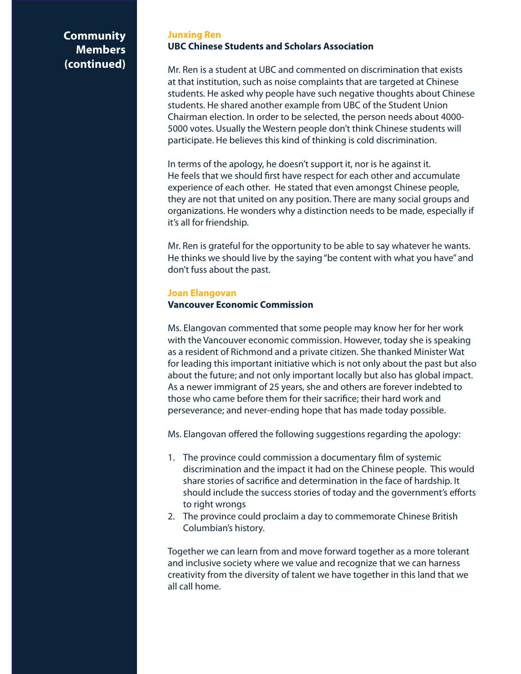#### **Junxing Ren UBC Chinese Students and Scholars Association**

Mr. Ren is a student at UBC and commented on discrimination that exists at that institution, such as noise complaints that are targeted at Chinese students. He asked why people have such negative thoughts about Chinese students. He shared another example from UBC of the Student Union Chairman election. In order to be selected, the person needs about 4000- 5000 votes. Usually the Western people don't think Chinese students will participate. He believes this kind of thinking is cold discrimination.

In terms of the apology, he doesn't support it, nor is he against it. He feels that we should first have respect for each other and accumulate experience of each other. He stated that even amongst Chinese people, they are not that united on any position. There are many social groups and organizations. He wonders why a distinction needs to be made, especially if it's all for friendship.

Mr. Ren is grateful for the opportunity to be able to say whatever he wants. He thinks we should live by the saying "be content with what you have" and don't fuss about the past.

#### **Joan Elangovan**

#### **Vancouver Economic Commission**

Ms. Elangovan commented that some people may know her for her work with the Vancouver economic commission. However, today she is speaking as a resident of Richmond and a private citizen. She thanked Minister Wat for leading this important initiative which is not only about the past but also about the future; and not only important locally but also has global impact. As a newer immigrant of 25 years, she and others are forever indebted to those who came before them for their sacrifice; their hard work and perseverance; and never-ending hope that has made today possible.

Ms. Elangovan offered the following suggestions regarding the apology:

- 1. The province could commission a documentary film of systemic discrimination and the impact it had on the Chinese people. This would share stories of sacrifice and determination in the face of hardship. It should include the success stories of today and the government's efforts to right wrongs
- 2. The province could proclaim a day to commemorate Chinese British Columbian's history.

Together we can learn from and move forward together as a more tolerant and inclusive society where we value and recognize that we can harness creativity from the diversity of talent we have together in this land that we all call home.